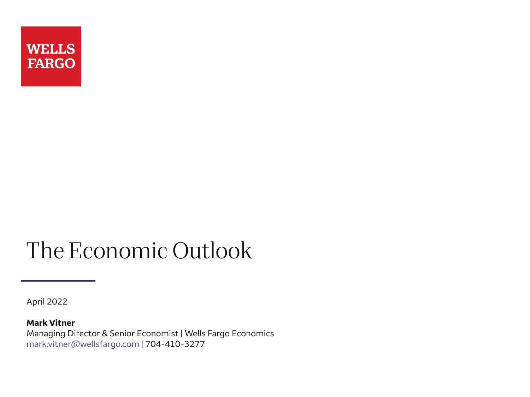

# The Economic Outlook

April 2022

**Mark Vitner** Managing Director & Senior Economist | Wells Fargo Economics [mark.vitner@wellsfargo.com](mailto:mark.vitner@wellsfargo.com) | 704-410-3277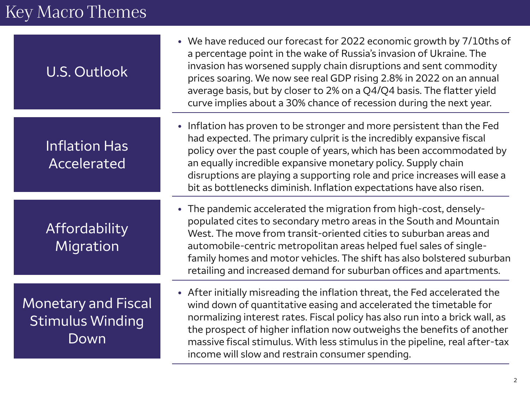# Key Macro Themes

| <b>U.S. Outlook</b>                                           | • We have reduced our forecast for 2022 economic growth by 7/10ths of<br>a percentage point in the wake of Russia's invasion of Ukraine. The<br>invasion has worsened supply chain disruptions and sent commodity<br>prices soaring. We now see real GDP rising 2.8% in 2022 on an annual<br>average basis, but by closer to 2% on a Q4/Q4 basis. The flatter yield<br>curve implies about a 30% chance of recession during the next year.    |
|---------------------------------------------------------------|-----------------------------------------------------------------------------------------------------------------------------------------------------------------------------------------------------------------------------------------------------------------------------------------------------------------------------------------------------------------------------------------------------------------------------------------------|
| <b>Inflation Has</b><br>Accelerated                           | • Inflation has proven to be stronger and more persistent than the Fed<br>had expected. The primary culprit is the incredibly expansive fiscal<br>policy over the past couple of years, which has been accommodated by<br>an equally incredible expansive monetary policy. Supply chain<br>disruptions are playing a supporting role and price increases will ease a<br>bit as bottlenecks diminish. Inflation expectations have also risen.  |
| Affordability<br>Migration                                    | • The pandemic accelerated the migration from high-cost, densely-<br>populated cites to secondary metro areas in the South and Mountain<br>West. The move from transit-oriented cities to suburban areas and<br>automobile-centric metropolitan areas helped fuel sales of single-<br>family homes and motor vehicles. The shift has also bolstered suburban<br>retailing and increased demand for suburban offices and apartments.           |
| <b>Monetary and Fiscal</b><br><b>Stimulus Winding</b><br>Down | • After initially misreading the inflation threat, the Fed accelerated the<br>wind down of quantitative easing and accelerated the timetable for<br>normalizing interest rates. Fiscal policy has also run into a brick wall, as<br>the prospect of higher inflation now outweighs the benefits of another<br>massive fiscal stimulus. With less stimulus in the pipeline, real after-tax<br>income will slow and restrain consumer spending. |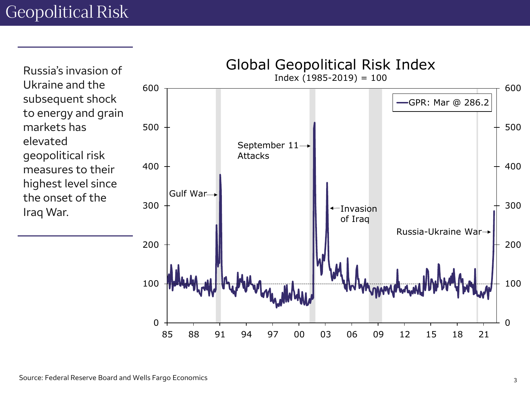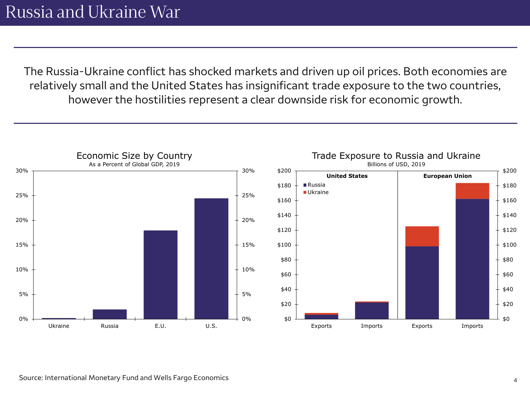The Russia-Ukraine conflict has shocked markets and driven up oil prices. Both economies are relatively small and the United States has insignificant trade exposure to the two countries, however the hostilities represent a clear downside risk for economic growth.

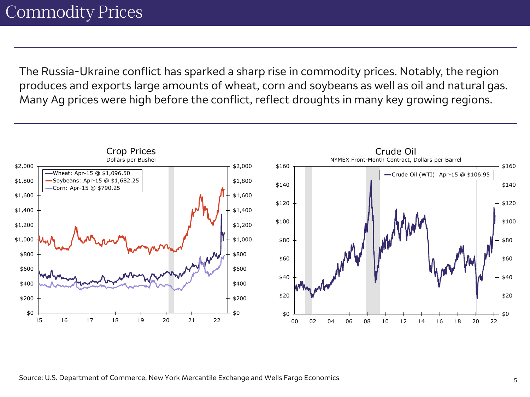The Russia-Ukraine conflict has sparked a sharp rise in commodity prices. Notably, the region produces and exports large amounts of wheat, corn and soybeans as well as oil and natural gas. Many Ag prices were high before the conflict, reflect droughts in many key growing regions.

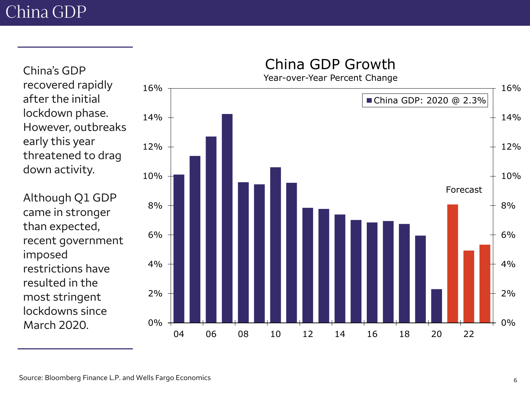China's GDP

after the initial

early this year

down activity.

than expected,

restrictions have

resulted in the

most stringent lockdowns since

March 2020.

imposed

lockdown phase.

0% 2% 4% 6% 8% 10% 12% 14% 16% 0% 2% 4% 6% 8% 10% 12% 14% 16% 04 06 08 10 12 14 16 18 20 22 Year-over-Year Percent Change China GDP: 2020 @ 2.3% Forecast recovered rapidly However, outbreaks threatened to drag Although Q1 GDP came in stronger recent government

#### China GDP Growth

Source: Bloomberg Finance L.P. and Wells Fargo Economics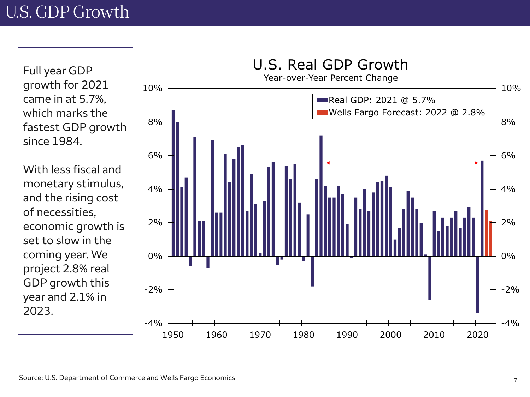Full year GDP growth for 2021 came in at 5.7%, which marks the fastest GDP growth since 1984.

With less fiscal and monetary stimulus, and the rising cost of necessities, economic growth is set to slow in the coming year. We project 2.8% real GDP growth this year and 2.1% in 2023 .

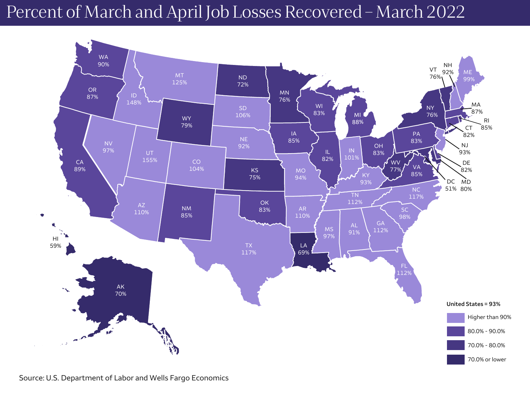## Percent of March and April Job Losses Recovered – March 2022



Source: U.S. Department of Labor and Wells Fargo Economics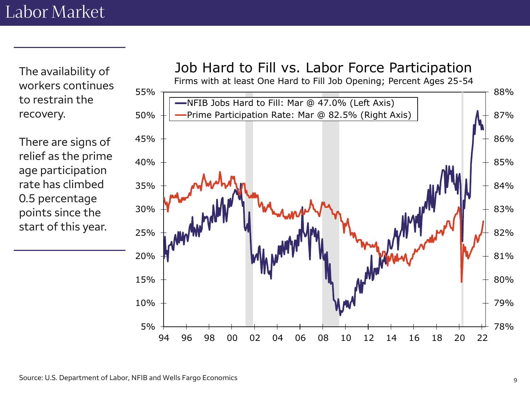The availability of workers continues to restrain the recovery.

There are signs of relief as the prime age participation rate has climbed 0.5 percentage points since the start of this year.

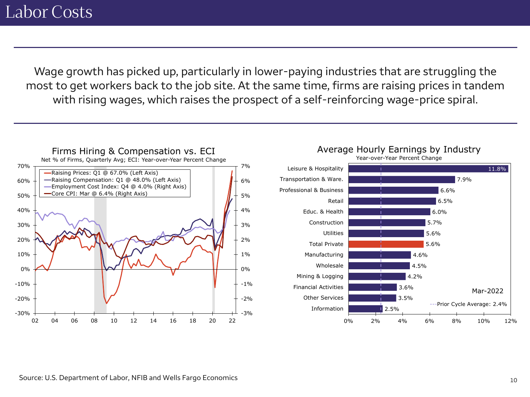Wage growth has picked up, particularly in lower-paying industries that are struggling the most to get workers back to the job site. At the same time, firms are raising prices in tandem with rising wages, which raises the prospect of a self-reinforcing wage-price spiral.

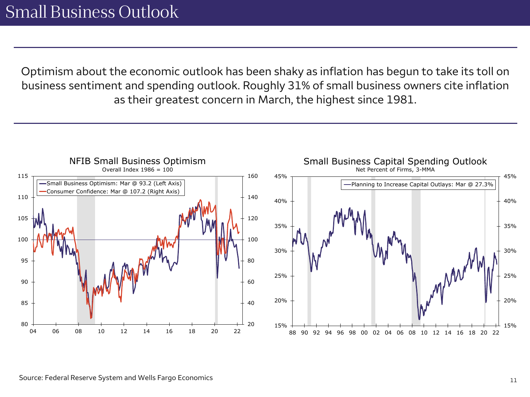Optimism about the economic outlook has been shaky as inflation has begun to take its toll on business sentiment and spending outlook. Roughly 31% of small business owners cite inflation as their greatest concern in March, the highest since 1981.

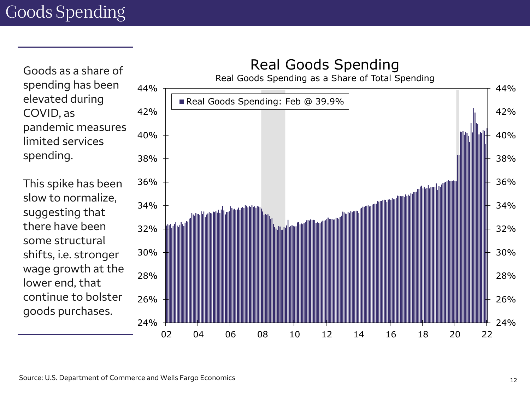Goods as a share of spending has been elevated during COVID, as pandemic measures limited services spending.

This spike has been slow to normalize, suggesting that there have been some structural shifts, i.e. stronger wage growth at the lower end, that continue to bolster goods purchases.

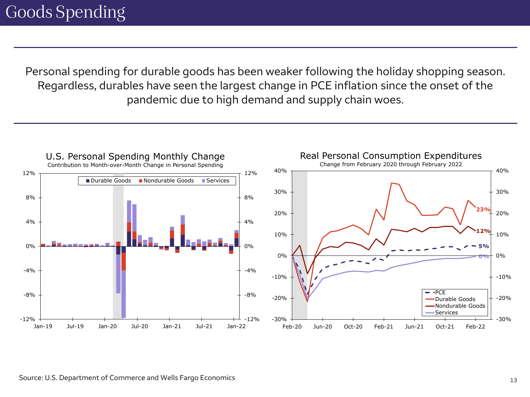Personal spending for durable goods has been weaker following the holiday shopping season. Regardless, durables have seen the largest change in PCE inflation since the onset of the pandemic due to high demand and supply chain woes.

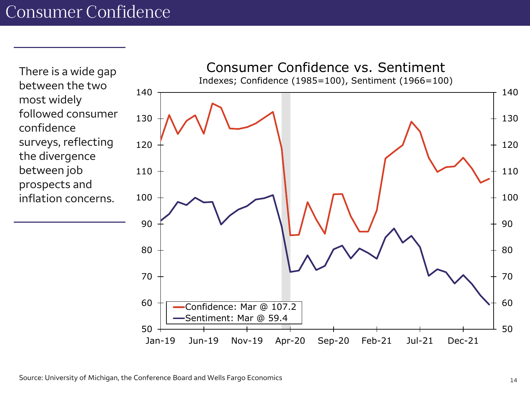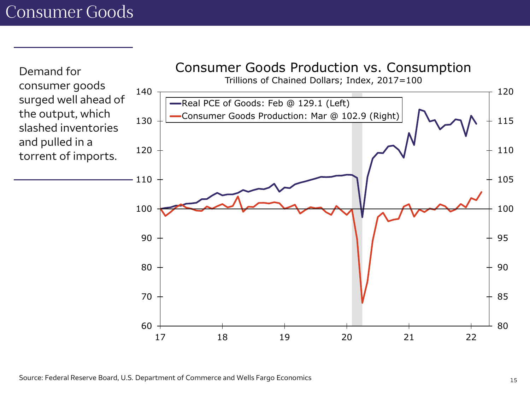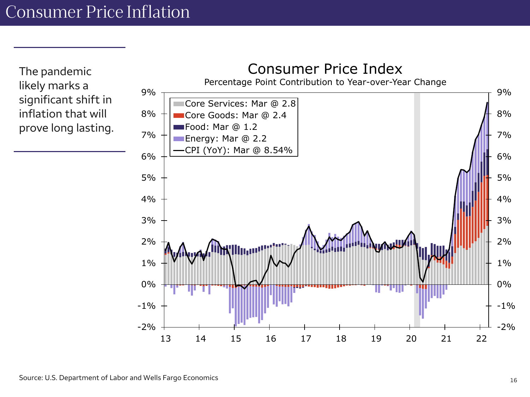The pandemic likely marks a significant shift in inflation that will prove long lasting.

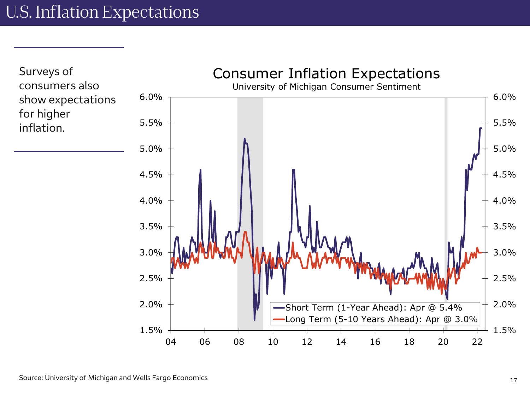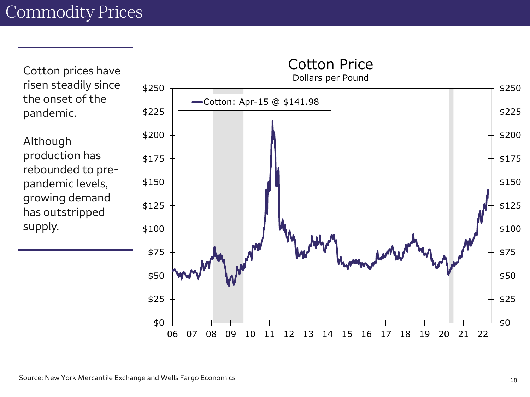Cotton prices have risen steadily since the onset of the pandemic.

Although production has rebounded to prepandemic levels, growing demand has outstripped supply.

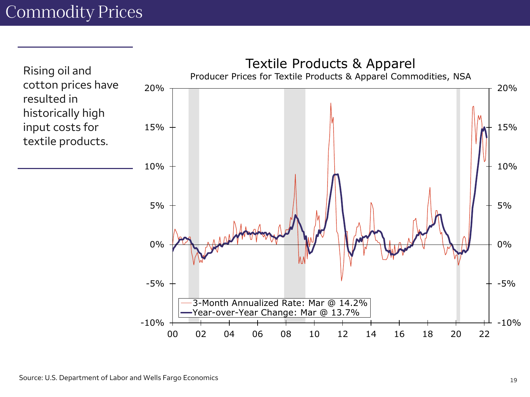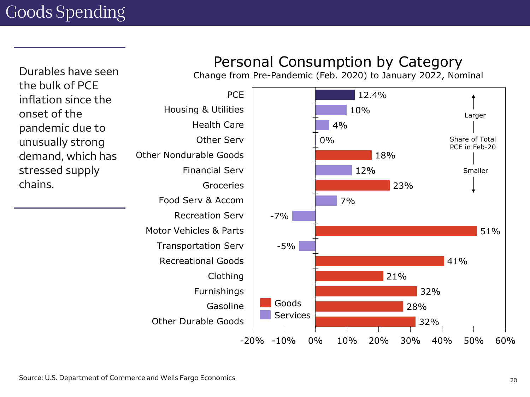Durables have seen the bulk of PCE inflation since the onset of the pandemic due to unusually strong demand, which has stressed supply chains.

### Personal Consumption by Category

Change from Pre-Pandemic (Feb. 2020) to January 2022, Nominal

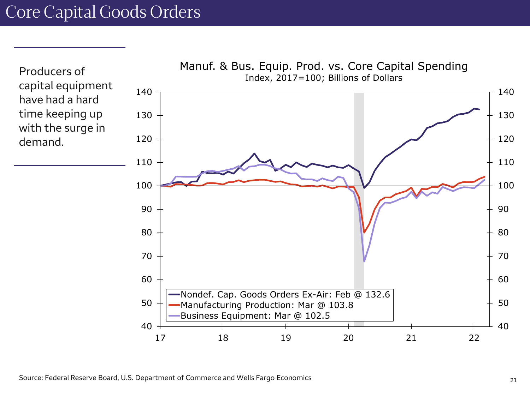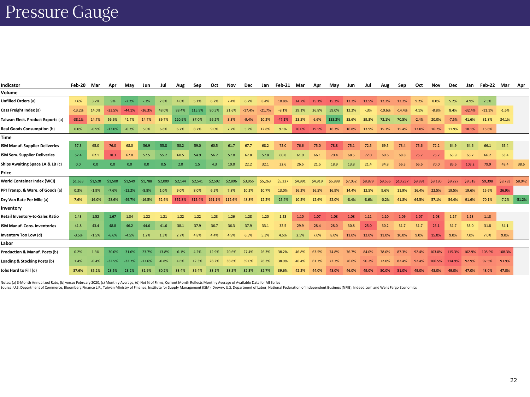## Pressure Gauge

| Indicator                             | Feb-20   | Mar      | Apr      | Mav      | Jun      |          | Aug     | Sep     | Oct           | Nov     | Dec      | Jan      | Feb-21 Mar |         | Apr     | May     | Jun     | Jul     | Aug      | Sep      | Oct     | <b>Nov</b> | Dec     | Jan      | Feb-22 Mar |         | Apr      |
|---------------------------------------|----------|----------|----------|----------|----------|----------|---------|---------|---------------|---------|----------|----------|------------|---------|---------|---------|---------|---------|----------|----------|---------|------------|---------|----------|------------|---------|----------|
| Volume                                |          |          |          |          |          |          |         |         |               |         |          |          |            |         |         |         |         |         |          |          |         |            |         |          |            |         |          |
| <b>Unfilled Orders (a)</b>            | 7.6%     | 3.7%     | .9%      | $-2.2%$  | $-.3%$   | 2.8%     | 4.0%    | 5.1%    | 6.2%          | 7.4%    | 6.7%     | 8.4%     | 10.8%      | 14.7%   | 15.1%   | 15.3%   | 13.2%   | 13.5%   | 12.2%    | 12.2%    | 9.2%    | 8.0%       | 5.2%    | 4.9%     | 2.5%       |         |          |
| Cass Freight Index (a)                | $-13.2%$ | 14.0%    | $-33.5%$ | $-44.1%$ | $-36.3%$ | 48.0%    | 88.4%   | 115.9%  | 80.5%         | 21.6%   | $-17.4%$ | $-21.7%$ | $-8.1%$    | 29.1%   | 26.8%   | 59.0%   | 12.2%   | $-.3%$  | $-10.6%$ | $-14.4%$ | 4.1%    |            | 8.4%    | $-32.4%$ | $-11.1%$   | $-1.6%$ |          |
| Taiwan Elect. Product Exports (a)     | $-38.1%$ | 14.7%    | 56.6%    | 41.7%    | 14.7%    | 39.7%    | 120.9%  | 87.0%   | 96.2%         | 3.3%    | $-9.4%$  | 10.2%    | $-47.1%$   | 23.5%   | 6.6%    | 133.2%  | 35.6%   | 39.3%   | 73.1%    | 70.5%    | $-2.4%$ | 20.0%      | $-7.5%$ | 41.6%    | 31.8%      | 34.1%   |          |
| <b>Real Goods Consumption (b)</b>     | 0.0%     | $-0.9%$  | $-13.0%$ | $-0.7%$  | 5.0%     | 6.8%     | 6.7%    | 8.7%    | 9.0%          | 7.7%    | 5.2%     | 12.8%    | 9.1%       | 20.0%   | 19.5%   | 16.3%   | 16.8%   | 13.9%   | 15.3%    | 15.4%    | 17.0%   | 16.7%      | 11.9%   | 18.1%    | 15.6%      |         |          |
| <b>Time</b>                           |          |          |          |          |          |          |         |         |               |         |          |          |            |         |         |         |         |         |          |          |         |            |         |          |            |         |          |
| <b>ISM Manuf. Supplier Deliveries</b> | 57.3     | 65.0     | 76.0     | 68.0     | 56.9     | 55.8     | 58.2    | 59.0    | 60.5          | 61.7    | 67.7     | 68.2     | 72.0       | 76.6    | 75.0    | 78.8    | 75.1    | 72.5    | 69.5     | 73.4     | 75.6    | 72.2       | 64.9    | 64.6     | 66.1       | 65.4    |          |
| ISM Serv. Supplier Deliveries         | 52.4     | 62.1     | 78.3     | 67.0     | 57.5     | 55.2     | 60.5    | 54.9    | 56.2          | 57.0    | 62.8     | 57.8     | 60.8       | 61.0    | 66.1    | 70.4    | 68.5    | 72.0    | 69.6     | 68.8     | 75.7    | 75.7       | 63.9    | 65.7     | 66.2       | 63.4    |          |
| Ships Awaiting Space LA & LB (c)      | 0.0      | 0.0      | 0.0      | 0.0      | 0.0      | 0.5      | 2.0     | 1.5     | 4.3           | 10.0    | 22.2     | 32.1     | 32.6       | 26.5    | 21.5    | 18.9    | 13.8    | 21.4    | 34.8     | 56.3     | 66.6    | 70.0       | 85.6    | 103.2    | 79.9       | 48.4    | 38.6     |
| Price                                 |          |          |          |          |          |          |         |         |               |         |          |          |            |         |         |         |         |         |          |          |         |            |         |          |            |         |          |
| World Container Index (WCI)           | \$1,633  | \$1,520  | \$1,500  | \$1.549  | \$1,788  | \$2,009  | \$2,144 | \$2.541 | \$2.592       | \$2,806 | \$3,955  | \$5,263  | \$5,227    | \$4,991 | \$4,919 | \$5,898 | \$7,052 | \$8,879 | \$9.556  | \$10,237 | \$9,891 | \$9,180    | \$9,227 | \$9.518  | \$9,398    | \$8.783 | \$8,042  |
| PPI Transp. & Ware. of Goods (a)      | 0.3%     | $-1.9%$  | $-7.6%$  | $-12.2%$ | $-8.8%$  | 1.0%     | 9.0%    |         |               |         | 10.2%    | 10.7%    | 13.0%      | 16.3%   | 16.5%   | 16.9%   | 14.4%   | 12.5%   | 9.6%     | 11.9%    | 16.4%   | 22.5%      | 19.5%   | 19.6%    | 15.6%      | 36.9%   |          |
| Dry Van Rate Per Mile (a)             | 7.6%     | $-16.0%$ | $-28.6%$ | $-49.7%$ | $-16.5%$ | 52.6%    | 352.8%  | 315.4%  | 191.1% 112.6% |         | 48.8%    | 12.2%    | $-25.4%$   | 10.5%   | 12.6%   | 52.0%   | $-8.4%$ | $-8.6%$ | $-0.2%$  | 41.8%    | 64.5%   | 57.1%      | 54.4%   | 91.6%    | 70.1%      | $-7.2%$ | $-51.2%$ |
| Inventory                             |          |          |          |          |          |          |         |         |               |         |          |          |            |         |         |         |         |         |          |          |         |            |         |          |            |         |          |
| Retail Inventory-to-Sales Ratio       | 1.43     | 1.52     | 1.67     | 1.34     | 1.22     | 1.21     | 1.22    | 1.22    | 1.23          | 1.26    | 1.28     | 1.20     | 1.23       | 1.10    | 1.07    | 1.08    | 1.08    | 1.11    | 1.10     | 1.09     | 1.07    | 1.08       | 1.17    | 1.13     | 1.13       |         |          |
| <b>ISM Manuf. Cons. Inventories</b>   | 41.8     | 43.4     | 48.8     | 46.2     | 44.6     | 41.6     | 38.1    | 37.9    | 36.7          | 36.3    | 37.9     | 33.1     | 32.5       | 29.9    | 28.4    | 28.0    | 30.8    | 25.0    | 30.2     | 31.7     | 31.7    | 25.1       | 31.7    | 33.0     | 31.8       | 34.1    |          |
| Inventory Too Low (d)                 | $-3.5%$  | $-1.5%$  | $-6.6%$  | $-4.5%$  | 1.2%     | 1.3%     | 2.7%    | 4.8%    | 4.4%          | 4.9%    | 6.5%     | 5.3%     | 4.5%       | 2.5%    | 7.0%    | 8.0%    | 11.0%   | 12.0%   | 11.0%    | 10.0%    | 9.0%    | 15.0%      | 9.0%    | 7.0%     | 7.0%       | 9.0%    |          |
| Labor                                 |          |          |          |          |          |          |         |         |               |         |          |          |            |         |         |         |         |         |          |          |         |            |         |          |            |         |          |
| Production & Manuf. Posts (b)         | 0.2%     | 1.3%     | -30.0%   | $-31.6%$ | $-23.7%$ | $-13.8%$ | $-6.1%$ | 4.2%    | 12.9%         | 20.6%   | 27.4%    | 26.3%    | 38.2%      | 46.8%   | 63.5%   | 74.8%   | 76.7%   | 84.0%   | 78.0%    | 87.3%    | 92.4%   | 103.0%     | 115.3%  | 102.9%   | 108.9%     | 108.3%  |          |
| Loading & Stocking Posts (b)          | 1.4%     | $-0.4%$  | $-32.5%$ | $-32.7%$ | $-17.6%$ | $-0.8%$  | 4.6%    | 12.3%   | 28.2%         |         | 39.0%    | 26.3%    | 38.9%      | 46.4%   | 61.7%   | 72.7%   | 76.6%   | 90.2%   | 72.0%    | 82.4%    | 92.4%   | 106.5%     | 114.9%  | 92.9%    | 97.5%      | 93.9%   |          |
| Jobs Hard to Fill (d)                 | 37.6%    | 35.2%    | 23.5%    | 23.2%    | 31.9%    | 30.2%    | 33.4%   | 36.4%   | 33.1%         | 33.5%   | 32.3%    | 32.7%    | 39.6%      | 42.2%   | 44.0%   | 48.0%   | 46.0%   | 49.0%   | 50.0%    | 51.0%    | 49.0%   | 48.0%      | 49.0%   | 47.0%    | 48.0%      | 47.0%   |          |

Notes: (a) 3-Month Annualized Rate, (b) versus February 2020, (c) Monthly Average, (d) Net % of Firms, Current Month Reflects Monthly Average of Available Data for All Series

Source: U.S. Department of Commerce, Bloomberg Finance L.P., Taiwan Ministry of Finance, Institute for Supply Management (ISM), Drewry, U.S. Department of Labor, National Federation of Independent Business (NFIB), Indeed.c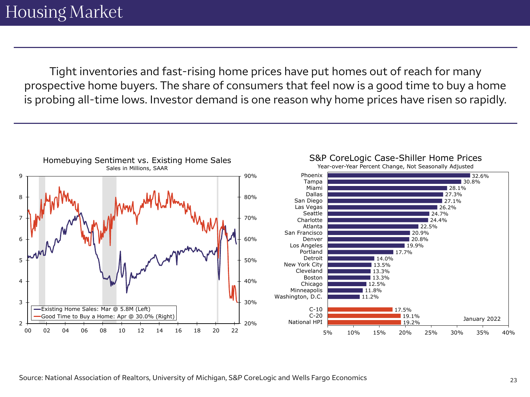Tight inventories and fast-rising home prices have put homes out of reach for many prospective home buyers. The share of consumers that feel now is a good time to buy a home is probing all-time lows. Investor demand is one reason why home prices have risen so rapidly.

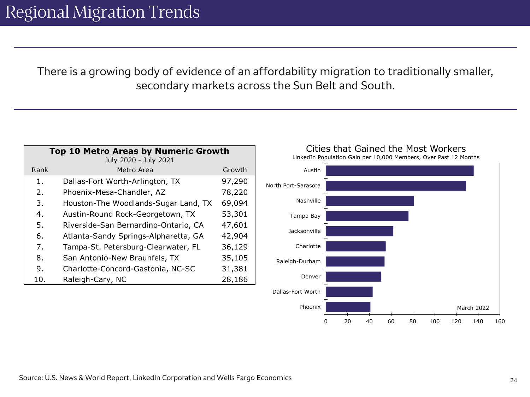There is a growing body of evidence of an affordability migration to traditionally smaller, secondary markets across the Sun Belt and South.

| <b>Top 10 Metro Areas by Numeric Growth</b><br>July 2020 - July 2021 |                                      |        |  |  |  |  |  |  |  |
|----------------------------------------------------------------------|--------------------------------------|--------|--|--|--|--|--|--|--|
| Rank                                                                 | Metro Area                           | Growth |  |  |  |  |  |  |  |
| 1.                                                                   | Dallas-Fort Worth-Arlington, TX      | 97,290 |  |  |  |  |  |  |  |
| 2.                                                                   | Phoenix-Mesa-Chandler, AZ            | 78,220 |  |  |  |  |  |  |  |
| 3.                                                                   | Houston-The Woodlands-Sugar Land, TX | 69,094 |  |  |  |  |  |  |  |
| 4.                                                                   | Austin-Round Rock-Georgetown, TX     | 53,301 |  |  |  |  |  |  |  |
| 5.                                                                   | Riverside-San Bernardino-Ontario, CA | 47,601 |  |  |  |  |  |  |  |
| 6.                                                                   | Atlanta-Sandy Springs-Alpharetta, GA | 42,904 |  |  |  |  |  |  |  |
| 7.                                                                   | Tampa-St. Petersburg-Clearwater, FL  | 36,129 |  |  |  |  |  |  |  |
| 8.                                                                   | San Antonio-New Braunfels, TX        | 35,105 |  |  |  |  |  |  |  |
| 9.                                                                   | Charlotte-Concord-Gastonia, NC-SC    | 31,381 |  |  |  |  |  |  |  |
| 10.                                                                  | Raleigh-Cary, NC                     | 28,186 |  |  |  |  |  |  |  |

Cities that Gained the Most Workers



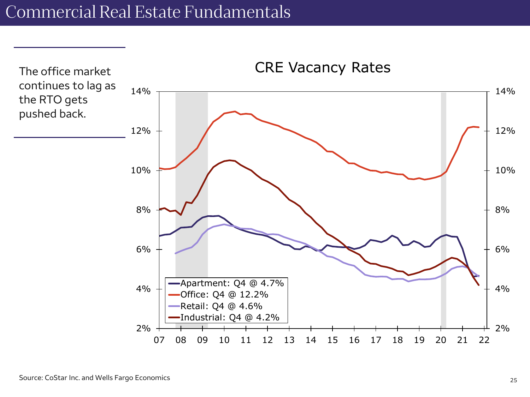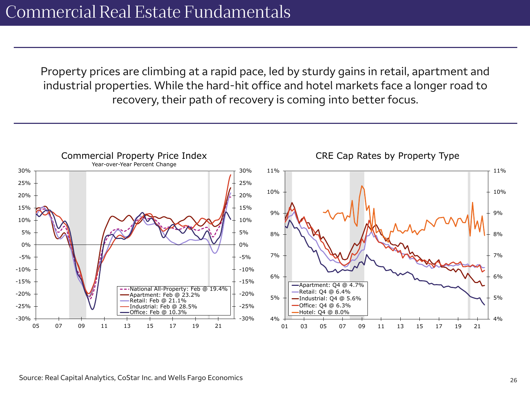Property prices are climbing at a rapid pace, led by sturdy gains in retail, apartment and industrial properties. While the hard-hit office and hotel markets face a longer road to recovery, their path of recovery is coming into better focus.

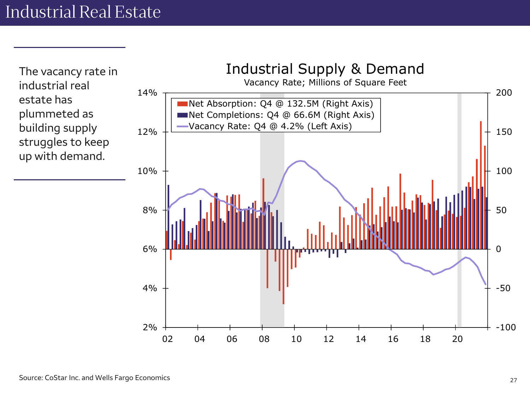-100 -50 0 50 100 150 200  $2%$ 4% 6% 8% 10% 12% 14% Net Absorption: Q4 @ 132.5M (Right Axis)<br>
We Completions: Q4 @ 66.6M (Right Axis)<br>
Vacancy Rate: Q4 @ 4.2% (Left Axis)<br>
02 04 06 08 10 12 14 16 18 20<br>
02 04 06 08 10 12 14 16 18 20 Industrial Supply & Demand Vacancy Rate; Millions of Square Feet Net Absorption: Q4 @ 132.5M (Right Axis) Net Completions: Q4 @ 66.6M (Right Axis) Vacancy Rate: Q4 @ 4.2% (Left Axis) The vacancy rate in industrial real estate has plummeted as building supply struggles to keep up with demand.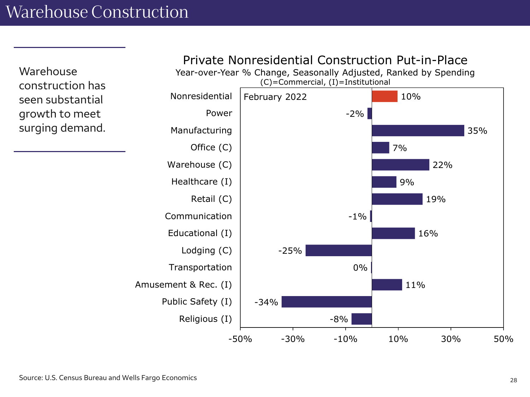Warehouse construction has seen substantial growth to meet surging demand.

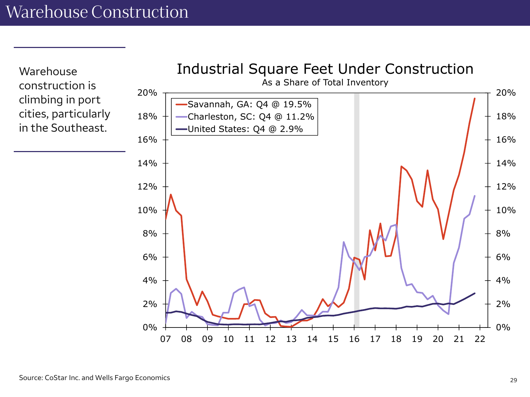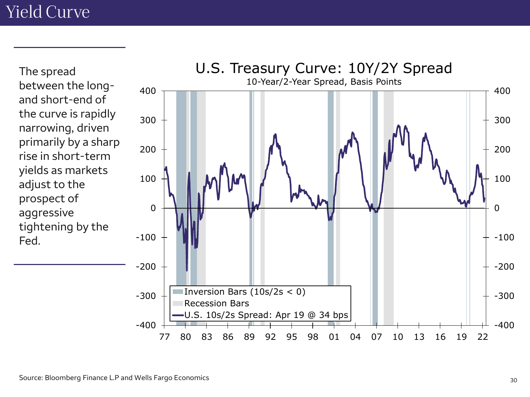The spread between the longand short-end of the curve is rapidly narrowing, driven primarily by a sharp rise in short-term yields as markets adjust to the prospect of aggressive tightening by the Fed.

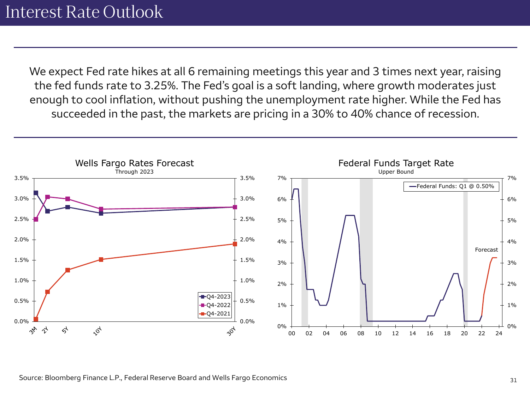We expect Fed rate hikes at all 6 remaining meetings this year and 3 times next year, raising the fed funds rate to 3.25%. The Fed's goal is a soft landing, where growth moderates just enough to cool inflation, without pushing the unemployment rate higher. While the Fed has succeeded in the past, the markets are pricing in a 30% to 40% chance of recession.

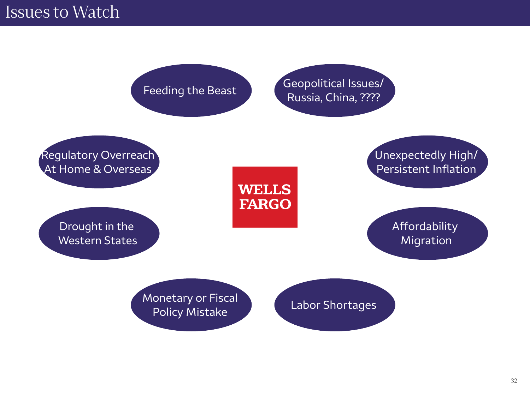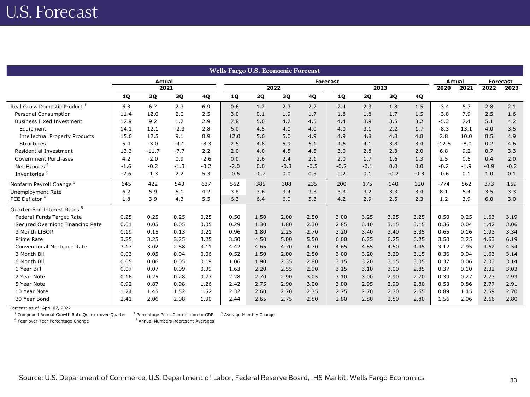| <b>Wells Fargo U.S. Economic Forecast</b> |           |               |        |        |           |        |        |               |        |                 |        |        |         |        |        |        |
|-------------------------------------------|-----------|---------------|--------|--------|-----------|--------|--------|---------------|--------|-----------------|--------|--------|---------|--------|--------|--------|
|                                           |           | <b>Actual</b> |        |        |           |        |        | <b>Actual</b> |        | <b>Forecast</b> |        |        |         |        |        |        |
|                                           | 2021      |               |        |        |           | 2022   |        |               |        | 2023            | 2020   | 2021   | 2022    | 2023   |        |        |
|                                           | <b>1Q</b> | <b>2Q</b>     | 3Q     | 4Q     | <b>1Q</b> | 2Q     | 3Q     | 4Q            | 1Q     | <b>2Q</b>       | 3Q     | 4Q     |         |        |        |        |
| Real Gross Domestic Product 1             | 6.3       | 6.7           | 2.3    | 6.9    | 0.6       | 1.2    | 2.3    | 2.2           | 2.4    | 2.3             | 1.8    | 1.5    | $-3.4$  | 5.7    | 2.8    | 2.1    |
| Personal Consumption                      | 11.4      | 12.0          | 2.0    | 2.5    | 3.0       | 0.1    | 1.9    | 1.7           | 1.8    | 1.8             | 1.7    | 1.5    | $-3.8$  | 7.9    | 2.5    | 1.6    |
| <b>Business Fixed Investment</b>          | 12.9      | 9.2           | 1.7    | 2.9    | 7.8       | 5.0    | 4.7    | 4.5           | 4.4    | 3.9             | 3.5    | 3.2    | $-5.3$  | 7.4    | 5.1    | 4.2    |
| Equipment                                 | 14.1      | 12.1          | $-2.3$ | 2.8    | 6.0       | 4.5    | 4.0    | 4.0           | 4.0    | 3.1             | 2.2    | 1.7    | $-8.3$  | 13.1   | 4.0    | 3.5    |
| <b>Intellectual Property Products</b>     | 15.6      | 12.5          | 9.1    | 8.9    | 12.0      | 5.6    | 5.0    | 4.9           | 4.9    | 4.8             | 4.8    | 4.8    | 2.8     | 10.0   | 8.5    | 4.9    |
| Structures                                | 5.4       | $-3.0$        | $-4.1$ | $-8.3$ | 2.5       | 4.8    | 5.9    | 5.1           | 4.6    | 4.1             | 3.8    | 3.4    | $-12.5$ | $-8.0$ | 0.2    | 4.6    |
| Residential Investment                    | 13.3      | $-11.7$       | $-7.7$ | 2.2    | 2.0       | 4.0    | 4.5    | 4.5           | 3.0    | 2.8             | 2.3    | 2.0    | 6.8     | 9.2    | 0.7    | 3.3    |
| Government Purchases                      | 4.2       | $-2.0$        | 0.9    | $-2.6$ | 0.0       | 2.6    | 2.4    | 2.1           | 2.0    | 1.7             | 1.6    | 1.3    | 2.5     | 0.5    | 0.4    | 2.0    |
| Net Exports <sup>2</sup>                  | $-1.6$    | $-0.2$        | $-1.3$ | $-0.2$ | $-2.0$    | 0.0    | $-0.3$ | $-0.5$        | $-0.2$ | $-0.1$          | 0.0    | 0.0    | $-0.2$  | $-1.9$ | $-0.9$ | $-0.2$ |
| Inventories <sup>2</sup>                  | $-2.6$    | $-1.3$        | 2.2    | 5.3    | $-0.6$    | $-0.2$ | 0.0    | 0.3           | 0.2    | 0.1             | $-0.2$ | $-0.3$ | $-0.6$  | 0.1    | 1.0    | 0.1    |
| Nonfarm Payroll Change <sup>3</sup>       | 645       | 422           | 543    | 637    | 562       | 385    | 308    | 235           | 200    | 175             | 140    | 120    | $-774$  | 562    | 373    | 159    |
| <b>Unemployment Rate</b>                  | 6.2       | 5.9           | 5.1    | 4.2    | 3.8       | 3.6    | 3.4    | 3.3           | 3.3    | 3.2             | 3.3    | 3.4    | 8.1     | 5.4    | 3.5    | 3.3    |
| PCE Deflator <sup>4</sup>                 | 1.8       | 3.9           | 4.3    | 5.5    | 6.3       | 6.4    | 6.0    | 5.3           | 4.2    | 2.9             | 2.5    | 2.3    | 1.2     | 3.9    | 6.0    | 3.0    |
| Quarter-End Interest Rates <sup>5</sup>   |           |               |        |        |           |        |        |               |        |                 |        |        |         |        |        |        |
| Federal Funds Target Rate                 | 0.25      | 0.25          | 0.25   | 0.25   | 0.50      | 1.50   | 2.00   | 2.50          | 3.00   | 3.25            | 3.25   | 3.25   | 0.50    | 0.25   | 1.63   | 3.19   |
| Secured Overnight Financing Rate          | 0.01      | 0.05          | 0.05   | 0.05   | 0.29      | 1.30   | 1.80   | 2.30          | 2.85   | 3.10            | 3.15   | 3.15   | 0.36    | 0.04   | 1.42   | 3.06   |
| 3 Month LIBOR                             | 0.19      | 0.15          | 0.13   | 0.21   | 0.96      | 1.80   | 2.25   | 2.70          | 3.20   | 3.40            | 3.40   | 3.35   | 0.65    | 0.16   | 1.93   | 3.34   |
| Prime Rate                                | 3.25      | 3.25          | 3.25   | 3.25   | 3.50      | 4.50   | 5.00   | 5.50          | 6.00   | 6.25            | 6.25   | 6.25   | 3.50    | 3.25   | 4.63   | 6.19   |
| Conventional Mortgage Rate                | 3.17      | 3.02          | 2.88   | 3.11   | 4.42      | 4.65   | 4.70   | 4.70          | 4.65   | 4.55            | 4.50   | 4.45   | 3.12    | 2.95   | 4.62   | 4.54   |
| 3 Month Bill                              | 0.03      | 0.05          | 0.04   | 0.06   | 0.52      | 1.50   | 2.00   | 2.50          | 3.00   | 3.20            | 3.20   | 3.15   | 0.36    | 0.04   | 1.63   | 3.14   |
| 6 Month Bill                              | 0.05      | 0.06          | 0.05   | 0.19   | 1.06      | 1.90   | 2.35   | 2.80          | 3.15   | 3.20            | 3.15   | 3.05   | 0.37    | 0.06   | 2.03   | 3.14   |
| 1 Year Bill                               | 0.07      | 0.07          | 0.09   | 0.39   | 1.63      | 2.20   | 2.55   | 2.90          | 3.15   | 3.10            | 3.00   | 2.85   | 0.37    | 0.10   | 2.32   | 3.03   |
| 2 Year Note                               | 0.16      | 0.25          | 0.28   | 0.73   | 2.28      | 2.70   | 2.90   | 3.05          | 3.10   | 3.00            | 2.90   | 2.70   | 0.39    | 0.27   | 2.73   | 2.93   |
| 5 Year Note                               | 0.92      | 0.87          | 0.98   | 1.26   | 2.42      | 2.75   | 2.90   | 3.00          | 3.00   | 2.95            | 2.90   | 2.80   | 0.53    | 0.86   | 2.77   | 2.91   |
| 10 Year Note                              | 1.74      | 1.45          | 1.52   | 1.52   | 2.32      | 2.60   | 2.70   | 2.75          | 2.75   | 2.70            | 2.70   | 2.65   | 0.89    | 1.45   | 2.59   | 2.70   |
| 30 Year Bond                              | 2.41      | 2.06          | 2.08   | 1.90   | 2.44      | 2.65   | 2.75   | 2.80          | 2.80   | 2.80            | 2.80   | 2.80   | 1.56    | 2.06   | 2.66   | 2.80   |

Forecast as of: April 07, 2022

<sup>1</sup> Compound Annual Growth Rate Quarter-over-Quarter <sup>2</sup> Percentage Point Contribution to GDP <sup>3</sup> Average Monthly Change

<sup>4</sup> Year-over-Year Percentage Change 5

<sup>5</sup> Annual Numbers Represent Averages